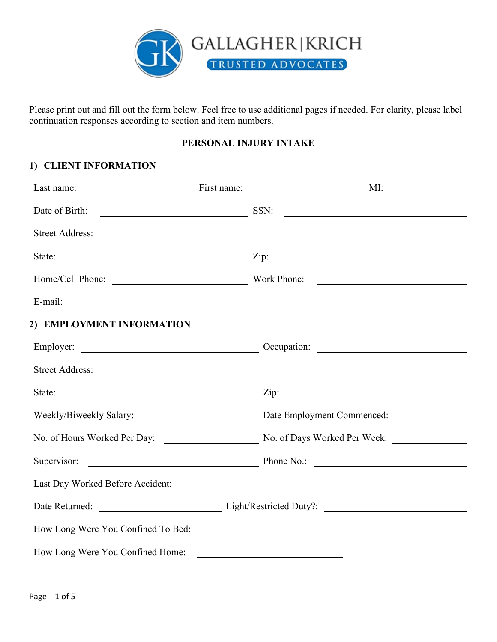

Please print out and fill out the form below. Feel free to use additional pages if needed. For clarity, please label continuation responses according to section and item numbers.

## **PERSONAL INJURY INTAKE**

## **1) CLIENT INFORMATION**

|                                    | Date of Birth: <u>Containing SSN:</u> SSN: Containing SSN: Containing SSN: Containing SSN: Containing SSN: Containing SSN: Containing SSN: Containing SSN: Containing SSN: Containing SSN: Containing SSN: Containing SSN: Containi                                    |  |
|------------------------------------|------------------------------------------------------------------------------------------------------------------------------------------------------------------------------------------------------------------------------------------------------------------------|--|
|                                    | Street Address: <u>and a street Address:</u> and a street Address: <b>and a street Address:</b> a street Address: <b>a</b> street Address: <b>a</b> street Address: <b>a</b> street Address: <b>a</b> street Address: <b>a</b> street Address: <b>a</b> street Address |  |
|                                    |                                                                                                                                                                                                                                                                        |  |
|                                    |                                                                                                                                                                                                                                                                        |  |
|                                    |                                                                                                                                                                                                                                                                        |  |
| 2) EMPLOYMENT INFORMATION          |                                                                                                                                                                                                                                                                        |  |
|                                    |                                                                                                                                                                                                                                                                        |  |
|                                    | Street Address: <u>and the contract of the contract of the contract of the contract of the contract of the contract of the contract of the contract of the contract of the contract of the contract of the contract of the contr</u>                                   |  |
|                                    | State: $\frac{1}{\sqrt{2\pi}}$                                                                                                                                                                                                                                         |  |
|                                    |                                                                                                                                                                                                                                                                        |  |
|                                    |                                                                                                                                                                                                                                                                        |  |
|                                    | Supervisor: <u>New York: Phone No.:</u> Phone No.: 2008.                                                                                                                                                                                                               |  |
| Last Day Worked Before Accident:   |                                                                                                                                                                                                                                                                        |  |
|                                    | Date Returned: Light/Restricted Duty?:                                                                                                                                                                                                                                 |  |
| How Long Were You Confined To Bed: |                                                                                                                                                                                                                                                                        |  |
| How Long Were You Confined Home:   |                                                                                                                                                                                                                                                                        |  |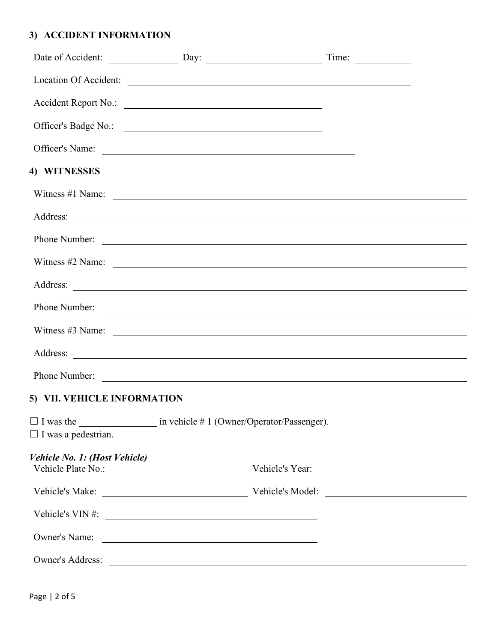## **3) ACCIDENT INFORMATION**

|                               | Date of Accident: Day: Day: Time:                                                                                                                                                                                                    |  |
|-------------------------------|--------------------------------------------------------------------------------------------------------------------------------------------------------------------------------------------------------------------------------------|--|
|                               | Location Of Accident:                                                                                                                                                                                                                |  |
|                               | Accident Report No.:                                                                                                                                                                                                                 |  |
|                               | Officer's Badge No.:                                                                                                                                                                                                                 |  |
|                               |                                                                                                                                                                                                                                      |  |
| 4) WITNESSES                  |                                                                                                                                                                                                                                      |  |
|                               | Witness $\#1$ Name:                                                                                                                                                                                                                  |  |
|                               |                                                                                                                                                                                                                                      |  |
|                               |                                                                                                                                                                                                                                      |  |
|                               | Witness $\#2$ Name:                                                                                                                                                                                                                  |  |
|                               |                                                                                                                                                                                                                                      |  |
|                               | Phone Number: <u>example and the contract of the set of the set of the set of the set of the set of the set of the set of the set of the set of the set of the set of the set of the set of the set of the set of the set of the</u> |  |
|                               | Witness $#3$ Name: $\qquad \qquad$                                                                                                                                                                                                   |  |
|                               |                                                                                                                                                                                                                                      |  |
|                               |                                                                                                                                                                                                                                      |  |
| 5) VII. VEHICLE INFORMATION   |                                                                                                                                                                                                                                      |  |
| $\Box$ I was a pedestrian.    |                                                                                                                                                                                                                                      |  |
| Vehicle No. 1: (Host Vehicle) |                                                                                                                                                                                                                                      |  |
|                               | Vehicle's Make: Vehicle's Model: Vehicle's Model:                                                                                                                                                                                    |  |
|                               | Vehicle's $VIN \#$ :                                                                                                                                                                                                                 |  |
|                               |                                                                                                                                                                                                                                      |  |
|                               | Owner's Address: <u>International Community of the Second Community of the Second Community of the Second Community of the Second Community of the Second Community of the Second Community of the Second Community of the Secon</u> |  |
|                               |                                                                                                                                                                                                                                      |  |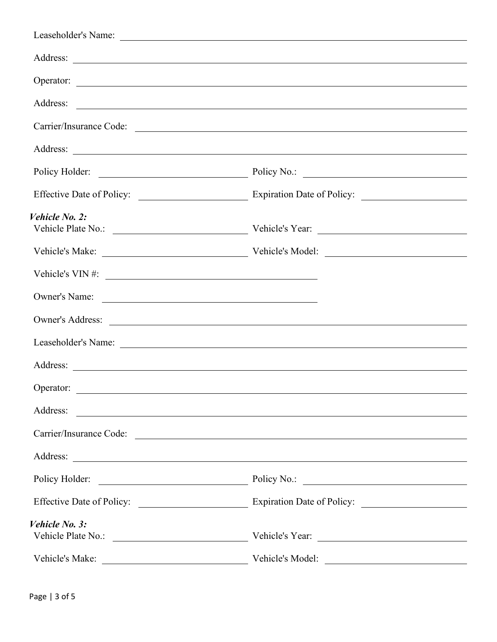|                                | Address: <u>the contract of the contract of the contract of the contract of the contract of the contract of the contract of the contract of the contract of the contract of the contract of the contract of the contract of the </u> |
|--------------------------------|--------------------------------------------------------------------------------------------------------------------------------------------------------------------------------------------------------------------------------------|
|                                | Carrier/Insurance Code:                                                                                                                                                                                                              |
|                                |                                                                                                                                                                                                                                      |
|                                | Policy Holder: Policy No.: 2008 Policy No.: 2008 Policy No.: 2008 Policy No.: 2008 Policy No.: 2008 Policy No.: 2008 Policy No.: 2008 Policy No.: 2008 Policy No.: 2008 Policy No.: 2008 Policy No.: 2008 Policy No.: 2008 Pol       |
|                                |                                                                                                                                                                                                                                      |
| Vehicle No. 2:                 |                                                                                                                                                                                                                                      |
|                                |                                                                                                                                                                                                                                      |
|                                | Vehicle's Make: Vehicle's Model: Vehicle's Model:                                                                                                                                                                                    |
| Vehicle's VIN #: $\frac{1}{2}$ |                                                                                                                                                                                                                                      |
| Owner's Name:                  |                                                                                                                                                                                                                                      |
|                                |                                                                                                                                                                                                                                      |
|                                | Leaseholder's Name: Leaseholder's Name:                                                                                                                                                                                              |
|                                |                                                                                                                                                                                                                                      |
| Operator:                      |                                                                                                                                                                                                                                      |
| Address:                       | <u> 1989 - Jan Barat, amerikan berasal di sebagai berasal di sebagai berasal di sebagai berasal di sebagai berasa</u>                                                                                                                |
|                                | Carrier/Insurance Code:                                                                                                                                                                                                              |
|                                |                                                                                                                                                                                                                                      |
|                                | Policy Holder: Policy No.: 2008 Policy No.: 2008 Policy No.: 2008 Policy No.: 2008 Policy No.: 2008 Policy No.: 2008 Policy No.: 2008 Policy No.: 2008 Policy No.: 2008 Policy No.: 2008 Policy No.: 2008 Policy No.: 2008 Pol       |
|                                |                                                                                                                                                                                                                                      |
| Vehicle No. 3:                 |                                                                                                                                                                                                                                      |
|                                |                                                                                                                                                                                                                                      |
|                                | Vehicle's Model:                                                                                                                                                                                                                     |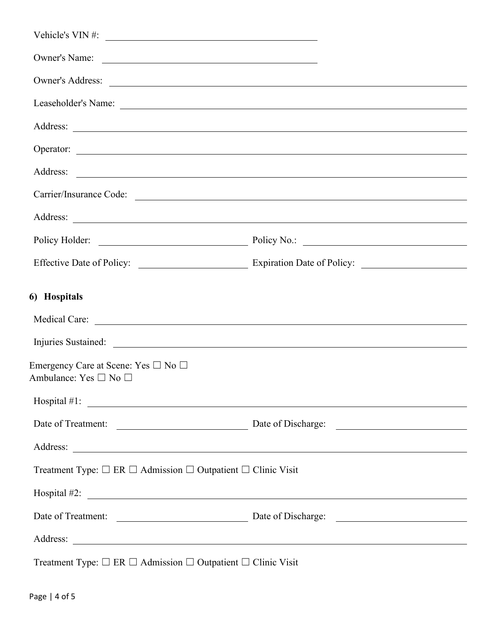| Vehicle's VIN #: $\qquad \qquad$                                                             |                                                                                                                                                                                                                                |
|----------------------------------------------------------------------------------------------|--------------------------------------------------------------------------------------------------------------------------------------------------------------------------------------------------------------------------------|
| Owner's Name:                                                                                |                                                                                                                                                                                                                                |
|                                                                                              |                                                                                                                                                                                                                                |
|                                                                                              |                                                                                                                                                                                                                                |
|                                                                                              |                                                                                                                                                                                                                                |
|                                                                                              |                                                                                                                                                                                                                                |
|                                                                                              |                                                                                                                                                                                                                                |
|                                                                                              | Carrier/Insurance Code:                                                                                                                                                                                                        |
|                                                                                              |                                                                                                                                                                                                                                |
|                                                                                              | Policy Holder: Policy No.: 2008 Policy No.: 2008 Policy No.: 2008 Policy No.: 2008 Policy No.: 2008 Policy No.: 2008 Policy No.: 2008 Policy No.: 2008 Policy No.: 2008 Policy No.: 2008 Policy No.: 2008 Policy No.: 2008 Pol |
|                                                                                              |                                                                                                                                                                                                                                |
| 6) Hospitals                                                                                 |                                                                                                                                                                                                                                |
|                                                                                              |                                                                                                                                                                                                                                |
|                                                                                              |                                                                                                                                                                                                                                |
| Emergency Care at Scene: Yes □ No □<br>Ambulance: Yes □ No □                                 |                                                                                                                                                                                                                                |
|                                                                                              |                                                                                                                                                                                                                                |
|                                                                                              | Date of Treatment: <u>New York: Date of Discharge:</u> Date of Discharge:                                                                                                                                                      |
|                                                                                              |                                                                                                                                                                                                                                |
| Treatment Type: $\Box$ ER $\Box$ Admission $\Box$ Outpatient $\Box$ Clinic Visit             |                                                                                                                                                                                                                                |
|                                                                                              |                                                                                                                                                                                                                                |
|                                                                                              | Date of Treatment: <u>New York: Date of Discharge:</u> Date of Discharge:                                                                                                                                                      |
|                                                                                              |                                                                                                                                                                                                                                |
| Treatment Type: $\square$ ER $\square$ Admission $\square$ Outpatient $\square$ Clinic Visit |                                                                                                                                                                                                                                |